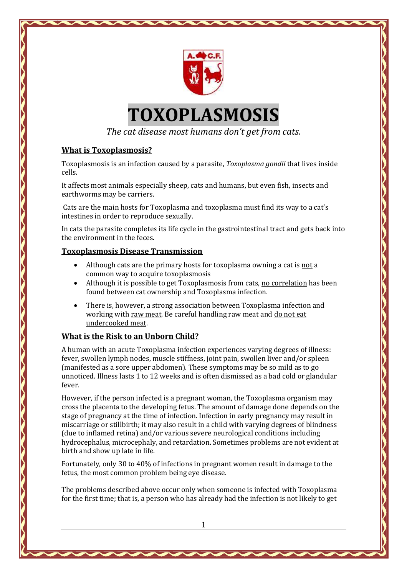

# **TOXOPLASMOSIS**

*The cat disease most humans don't get from cats.*

## **What is Toxoplasmosis?**

Toxoplasmosis is an infection caused by a parasite, *Toxoplasma gondii* that lives inside cells.

It affects most animals especially sheep, cats and humans, but even fish, insects and earthworms may be carriers.

Cats are the main hosts for Toxoplasma and toxoplasma must find its way to a cat's intestines in order to reproduce sexually.

In cats the parasite completes its life cycle in the gastrointestinal tract and gets back into the environment in the feces.

#### **Toxoplasmosis Disease Transmission**

- Although cats are the primary hosts for toxoplasma owning a cat is not a common way to acquire toxoplasmosis
- Although it is possible to get Toxoplasmosis from cats, no correlation has been found between cat ownership and Toxoplasma infection.
- There is, however, a strong association between Toxoplasma infection and working with raw meat. Be careful handling raw meat and do not eat undercooked meat.

#### **What is the Risk to an Unborn Child?**

A human with an acute Toxoplasma infection experiences varying degrees of illness: fever, swollen lymph nodes, muscle stiffness, joint pain, swollen liver and/or spleen (manifested as a sore upper abdomen). These symptoms may be so mild as to go unnoticed. Illness lasts 1 to 12 weeks and is often dismissed as a bad cold or glandular fever.

However, if the person infected is a pregnant woman, the Toxoplasma organism may cross the placenta to the developing fetus. The amount of damage done depends on the stage of pregnancy at the time of infection. Infection in early pregnancy may result in miscarriage or stillbirth; it may also result in a child with varying degrees of blindness (due to inflamed retina) and/or various severe neurological conditions including hydrocephalus, microcephaly, and retardation. Sometimes problems are not evident at birth and show up late in life.

Fortunately, only 30 to 40% of infections in pregnant women result in damage to the fetus, the most common problem being eye disease.

The problems described above occur only when someone is infected with Toxoplasma for the first time; that is, a person who has already had the infection is not likely to get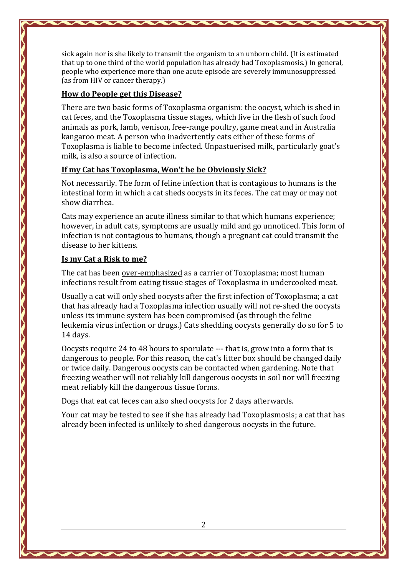sick again nor is she likely to transmit the organism to an unborn child. (It is estimated that up to one third of the world population has already had Toxoplasmosis.) In general, people who experience more than one acute episode are severely immunosuppressed (as from HIV or cancer therapy.)

## **How do People get this Disease?**

There are two basic forms of Toxoplasma organism: the oocyst, which is shed in cat feces, and the Toxoplasma tissue stages, which live in the flesh of such food animals as pork, lamb, venison, free-range poultry, game meat and in Australia kangaroo meat. A person who inadvertently eats either of these forms of Toxoplasma is liable to become infected. Unpastuerised milk, particularly goat's milk, is also a source of infection.

## **If my Cat has Toxoplasma, Won't he be Obviously Sick?**

Not necessarily. The form of feline infection that is contagious to humans is the intestinal form in which a cat sheds oocysts in its feces. The cat may or may not show diarrhea.

Cats may experience an acute illness similar to that which humans experience; however, in adult cats, symptoms are usually mild and go unnoticed. This form of infection is not contagious to humans, though a pregnant cat could transmit the disease to her kittens.

## **Is my Cat a Risk to me?**

The cat has been over-emphasized as a carrier of Toxoplasma; most human infections result from eating tissue stages of Toxoplasma in undercooked meat.

Usually a cat will only shed oocysts after the first infection of Toxoplasma; a cat that has already had a Toxoplasma infection usually will not re-shed the oocysts unless its immune system has been compromised (as through the feline leukemia virus infection or drugs.) Cats shedding oocysts generally do so for 5 to 14 days.

Oocysts require 24 to 48 hours to sporulate --- that is, grow into a form that is dangerous to people. For this reason, the cat's litter box should be changed daily or twice daily. Dangerous oocysts can be contacted when gardening. Note that freezing weather will not reliably kill dangerous oocysts in soil nor will freezing meat reliably kill the dangerous tissue forms.

Dogs that eat cat feces can also shed oocysts for 2 days afterwards.

Your cat may be tested to see if she has already had Toxoplasmosis; a cat that has already been infected is unlikely to shed dangerous oocysts in the future.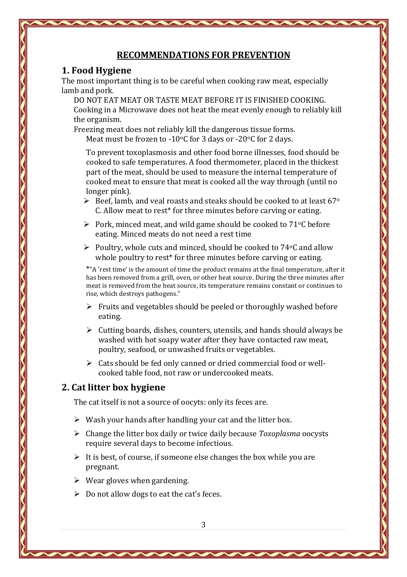#### **RECOMMENDATIONS FOR PREVENTION**

#### **1. Food Hygiene**

The most important thing is to be careful when cooking raw meat, especially lamb and pork.

DO NOT EAT MEAT OR TASTE MEAT BEFORE IT IS FINISHED COOKING. Cooking in a Microwave does not heat the meat evenly enough to reliably kill the organism.

Freezing meat does not reliably kill the dangerous tissue forms.

Meat must be frozen to -10 $\degree$ C for 3 days or -20 $\degree$ C for 2 days.

To prevent toxoplasmosis and other food borne illnesses, food should be cooked to safe temperatures. A food thermometer, placed in the thickest part of the meat, should be used to measure the internal temperature of cooked meat to ensure that meat is cooked all the way through (until no longer pink).

- $\triangleright$  Beef, lamb, and veal roasts and steaks should be cooked to at least 67<sup>o</sup> C. Allow meat to rest\* for three minutes before carving or eating.
- $\triangleright$  Pork, minced meat, and wild game should be cooked to 71 °C before eating. Minced meats do not need a rest time
- $\triangleright$  Poultry, whole cuts and minced, should be cooked to 74 °C and allow whole poultry to rest<sup>\*</sup> for three minutes before carving or eating.

\*"A 'rest time' is the amount of time the product remains at the final temperature, after it has been removed from a grill, oven, or other heat source. During the three minutes after meat is removed from the heat source, its temperature remains constant or continues to rise, which destroys pathogens."

- $\triangleright$  Fruits and vegetables should be peeled or thoroughly washed before eating.
- $\triangleright$  Cutting boards, dishes, counters, utensils, and hands should always be washed with hot soapy water after they have contacted raw meat, poultry, seafood, or unwashed fruits or vegetables.
- $\triangleright$  Cats should be fed only canned or dried commercial food or wellcooked table food, not raw or undercooked meats.

## **2. Cat litter box hygiene**

The cat itself is not a source of oocyts: only its feces are.

- $\triangleright$  Wash your hands after handling your cat and the litter box.
- Change the litter box daily or twice daily because *Toxoplasma* oocysts require several days to become infectious.
- $\triangleright$  It is best, of course, if someone else changes the box while you are pregnant.
- $\triangleright$  Wear gloves when gardening.
- $\triangleright$  Do not allow dogs to eat the cat's feces.